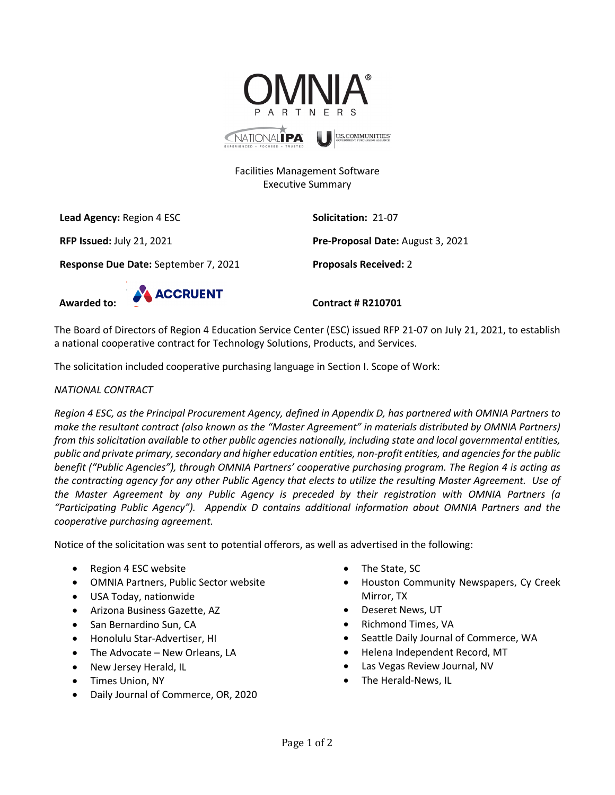

# Facilities Management Software Executive Summary

**Lead Agency:** Region 4 ESC **Solicitation:** 21-07

**Response Due Date:** September 7, 2021 **Proposals Received:** 2

**RFP Issued:** July 21, 2021 **Pre-Proposal Date:** August 3, 2021



The Board of Directors of Region 4 Education Service Center (ESC) issued RFP 21-07 on July 21, 2021, to establish a national cooperative contract for Technology Solutions, Products, and Services.

The solicitation included cooperative purchasing language in Section I. Scope of Work:

# *NATIONAL CONTRACT*

*Region 4 ESC, as the Principal Procurement Agency, defined in Appendix D, has partnered with OMNIA Partners to make the resultant contract (also known as the "Master Agreement" in materials distributed by OMNIA Partners) from this solicitation available to other public agencies nationally, including state and local governmental entities, public and private primary, secondary and higher education entities, non-profit entities, and agencies for the public benefit ("Public Agencies"), through OMNIA Partners' cooperative purchasing program. The Region 4 is acting as the contracting agency for any other Public Agency that elects to utilize the resulting Master Agreement. Use of the Master Agreement by any Public Agency is preceded by their registration with OMNIA Partners (a "Participating Public Agency"). Appendix D contains additional information about OMNIA Partners and the cooperative purchasing agreement.*

Notice of the solicitation was sent to potential offerors, as well as advertised in the following:

- Region 4 ESC website
- OMNIA Partners, Public Sector website
- USA Today, nationwide
- Arizona Business Gazette, AZ
- San Bernardino Sun, CA
- Honolulu Star-Advertiser, HI
- The Advocate New Orleans, LA
- New Jersey Herald, IL
- Times Union, NY
- Daily Journal of Commerce, OR, 2020
- The State, SC
- Houston Community Newspapers, Cy Creek Mirror, TX
- Deseret News, UT
- Richmond Times, VA
- Seattle Daily Journal of Commerce, WA
- Helena Independent Record, MT
- Las Vegas Review Journal, NV
- The Herald-News, IL